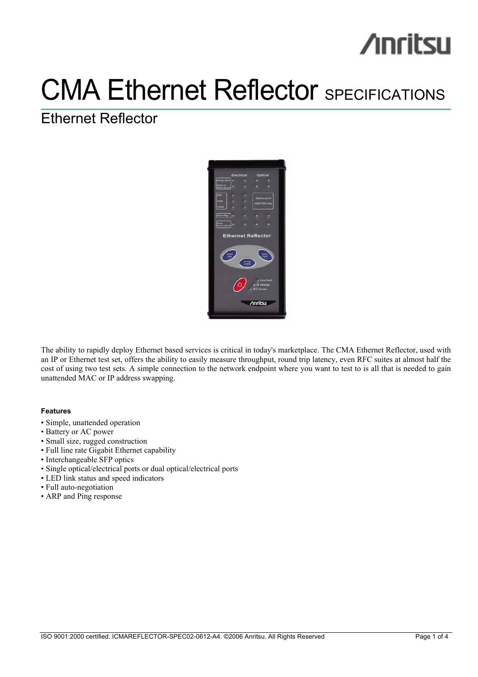# **/inritsu**

## **CMA Ethernet Reflector SPECIFICATIONS**

## Ethernet Reflector



The ability to rapidly deploy Ethernet based services is critical in today's marketplace. The CMA Ethernet Reflector, used with an IP or Ethernet test set, offers the ability to easily measure throughput, round trip latency, even RFC suites at almost half the cost of using two test sets. A simple connection to the network endpoint where you want to test to is all that is needed to gain unattended MAC or IP address swapping.

### **Features**

- Simple, unattended operation
- Battery or AC power
- Small size, rugged construction
- Full line rate Gigabit Ethernet capability
- Interchangeable SFP optics
- Single optical/electrical ports or dual optical/electrical ports
- LED link status and speed indicators
- Full auto-negotiation
- ARP and Ping response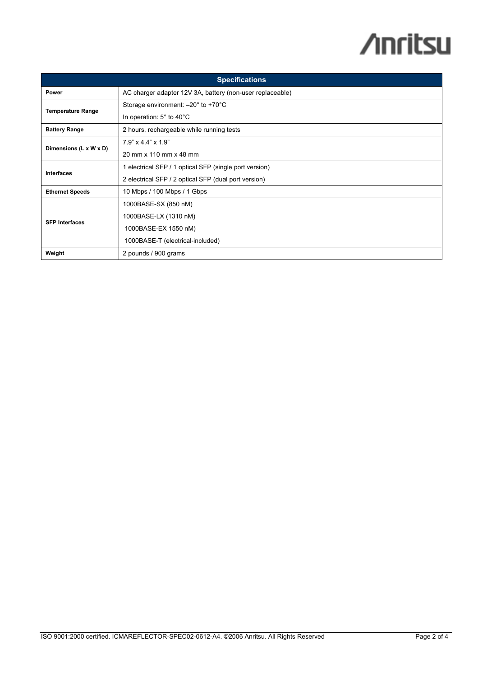# **/inritsu**

| <b>Specifications</b>    |                                                           |  |
|--------------------------|-----------------------------------------------------------|--|
| Power                    | AC charger adapter 12V 3A, battery (non-user replaceable) |  |
| <b>Temperature Range</b> | Storage environment: $-20^\circ$ to +70 $^\circ$ C        |  |
|                          | In operation: $5^{\circ}$ to $40^{\circ}$ C               |  |
| <b>Battery Range</b>     | 2 hours, rechargeable while running tests                 |  |
| Dimensions (L x W x D)   | $7.9$ " x 4.4" x 1.9"                                     |  |
|                          | 20 mm x 110 mm x 48 mm                                    |  |
| <b>Interfaces</b>        | 1 electrical SFP / 1 optical SFP (single port version)    |  |
|                          | 2 electrical SFP / 2 optical SFP (dual port version)      |  |
| <b>Ethernet Speeds</b>   | 10 Mbps / 100 Mbps / 1 Gbps                               |  |
| <b>SFP Interfaces</b>    | 1000BASE-SX (850 nM)                                      |  |
|                          | 1000BASE-LX (1310 nM)                                     |  |
|                          | 1000BASE-EX 1550 nM)                                      |  |
|                          | 1000BASE-T (electrical-included)                          |  |
| Weight                   | 2 pounds / 900 grams                                      |  |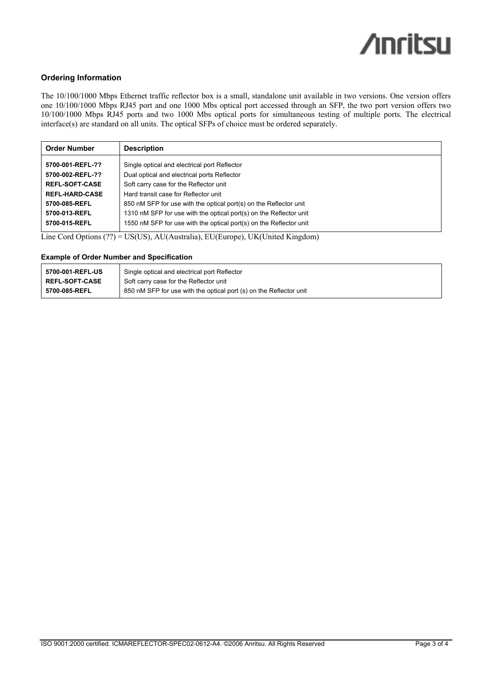## **/inritsu**

## **Ordering Information**

The 10/100/1000 Mbps Ethernet traffic reflector box is a small, standalone unit available in two versions. One version offers one 10/100/1000 Mbps RJ45 port and one 1000 Mbs optical port accessed through an SFP, the two port version offers two 10/100/1000 Mbps RJ45 ports and two 1000 Mbs optical ports for simultaneous testing of multiple ports. The electrical interface(s) are standard on all units. The optical SFPs of choice must be ordered separately.

| <b>Order Number</b>   | <b>Description</b>                                                 |
|-----------------------|--------------------------------------------------------------------|
| 5700-001-REFL-??      | Single optical and electrical port Reflector                       |
| 5700-002-REFL-??      | Dual optical and electrical ports Reflector                        |
| <b>REFL-SOFT-CASE</b> | Soft carry case for the Reflector unit                             |
| <b>REFL-HARD-CASE</b> | Hard transit case for Reflector unit                               |
| 5700-085-REFL         | 850 nM SFP for use with the optical port(s) on the Reflector unit  |
| 5700-013-REFL         | 1310 nM SFP for use with the optical port(s) on the Reflector unit |
| 5700-015-REFL         | 1550 nM SFP for use with the optical port(s) on the Reflector unit |

Line Cord Options  $(??) = US(US)$ , AU(Australia), EU(Europe), UK(United Kingdom)

### **Example of Order Number and Specification**

| 5700-001-REFL-US      | Single optical and electrical port Reflector                       |
|-----------------------|--------------------------------------------------------------------|
| <b>REFL-SOFT-CASE</b> | Soft carry case for the Reflector unit                             |
| 5700-085-REFL         | 850 nM SFP for use with the optical port (s) on the Reflector unit |